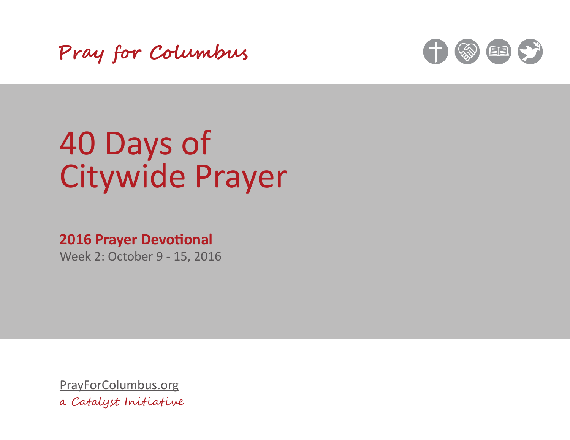Pray for Columbus



# 40 Days of **Citywide Prayer**

## **2016 Prayer Devotional**

Week 2: October 9 - 15, 2016

PrayForColumbus.org a Catalyst Initiative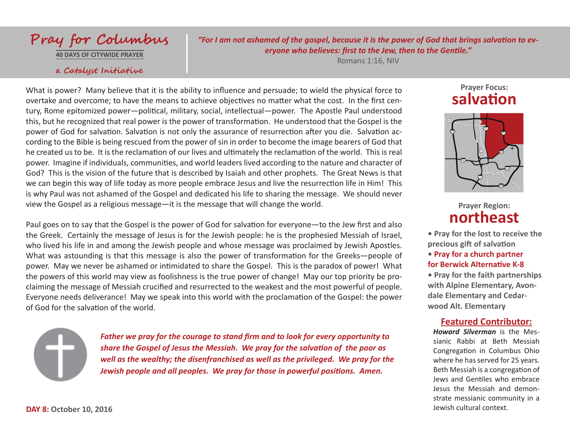

**40 DAYS OF CITYWIDE PRAYER**

#### a Catalyst Initiative

*"For I am not ashamed of the gospel, because it is the power of God that brings salvation to everyone who believes: first to the Jew, then to the Gentile."*

Romans 1:16, NIV

What is power? Many believe that it is the ability to influence and persuade; to wield the physical force to overtake and overcome; to have the means to achieve objectives no matter what the cost. In the first century, Rome epitomized power—political, military, social, intellectual—power. The Apostle Paul understood this, but he recognized that real power is the power of transformation. He understood that the Gospel is the power of God for salvation. Salvation is not only the assurance of resurrection after you die. Salvation according to the Bible is being rescued from the power of sin in order to become the image bearers of God that he created us to be. It is the reclamation of our lives and ultimately the reclamation of the world. This is real power. Imagine if individuals, communities, and world leaders lived according to the nature and character of God? This is the vision of the future that is described by Isaiah and other prophets. The Great News is that we can begin this way of life today as more people embrace Jesus and live the resurrection life in Him! This is why Paul was not ashamed of the Gospel and dedicated his life to sharing the message. We should never view the Gospel as a religious message—it is the message that will change the world.

Paul goes on to say that the Gospel is the power of God for salvation for everyone—to the Jew first and also the Greek. Certainly the message of Jesus is for the Jewish people: he is the prophesied Messiah of Israel, who lived his life in and among the Jewish people and whose message was proclaimed by Jewish Apostles. What was astounding is that this message is also the power of transformation for the Greeks—people of power. May we never be ashamed or intimidated to share the Gospel. This is the paradox of power! What the powers of this world may view as foolishness is the true power of change! May our top priority be proclaiming the message of Messiah crucified and resurrected to the weakest and the most powerful of people. Everyone needs deliverance! May we speak into this world with the proclamation of the Gospel: the power of God for the salvation of the world.

*Father we pray for the courage to stand firm and to look for every opportunity to share the Gospel of Jesus the Messiah. We pray for the salvation of the poor as well as the wealthy; the disenfranchised as well as the privileged. We pray for the Jewish people and all peoples. We pray for those in powerful positions. Amen.*

## **Prayer Focus: salvation**



**Prayer Region: northeast**

**• Pray for the lost to receive the precious gift of salvation**

## **• Pray for a church partner for Berwick Alternative K-8**

**• Pray for the faith partnerships with Alpine Elementary, Avondale Elementary and Cedarwood Alt. Elementary**

## **Featured Contributor:**

*Howard Silverman* is the Messianic Rabbi at Beth Messiah Congregation in Columbus Ohio where he has served for 25 years. Beth Messiah is a congregation of Jews and Gentiles who embrace Jesus the Messiah and demonstrate messianic community in a Jewish cultural context.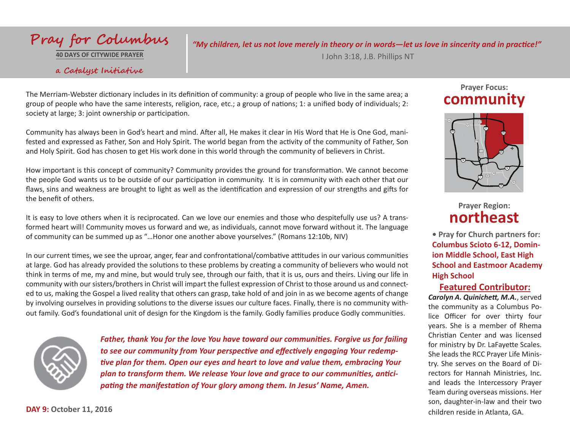# Pray for Columbus

**40 DAYS OF CITYWIDE PRAYER**

### a Catalyst Initiative

*"My children, let us not love merely in theory or in words—let us love in sincerity and in practice!"*

I John 3:18, J.B. Phillips NT

The Merriam-Webster dictionary includes in its definition of community: a group of people who live in the same area; a group of people who have the same interests, religion, race, etc.; a group of nations; 1: a unified body of individuals; 2: society at large; 3: joint ownership or participation.

Community has always been in God's heart and mind. After all, He makes it clear in His Word that He is One God, manifested and expressed as Father, Son and Holy Spirit. The world began from the activity of the community of Father, Son and Holy Spirit. God has chosen to get His work done in this world through the community of believers in Christ.

How important is this concept of community? Community provides the ground for transformation. We cannot become the people God wants us to be outside of our participation in community. It is in community with each other that our flaws, sins and weakness are brought to light as well as the identification and expression of our strengths and gifts for the benefit of others.

It is easy to love others when it is reciprocated. Can we love our enemies and those who despitefully use us? A transformed heart will! Community moves us forward and we, as individuals, cannot move forward without it. The language of community can be summed up as "…Honor one another above yourselves." (Romans 12:10b, NIV)

In our current times, we see the uproar, anger, fear and confrontational/combative attitudes in our various communities at large. God has already provided the solutions to these problems by creating a community of believers who would not think in terms of me, my and mine, but would truly see, through our faith, that it is us, ours and theirs. Living our life in community with our sisters/brothers in Christ will impart the fullest expression of Christ to those around us and connected to us, making the Gospel a lived reality that others can grasp, take hold of and join in as we become agents of change by involving ourselves in providing solutions to the diverse issues our culture faces. Finally, there is no community without family. God's foundational unit of design for the Kingdom is the family. Godly families produce Godly communities.



*Father, thank You for the love You have toward our communities. Forgive us for failing to see our community from Your perspective and effectively engaging Your redemptive plan for them. Open our eyes and heart to love and value them, embracing Your plan to transform them. We release Your love and grace to our communities, anticipating the manifestation of Your glory among them. In Jesus' Name, Amen.*

## **Prayer Focus: community**



**Prayer Region: northeast**

**• Pray for Church partners for: Columbus Scioto 6-12, Dominion Middle School, East High School and Eastmoor Academy High School** 

## **Featured Contributor:**

*Carolyn A. Quinichett, M.A.*, served the community as a Columbus Police Officer for over thirty four years. She is a member of Rhema Christian Center and was licensed for ministry by Dr. LaFayette Scales. She leads the RCC Prayer Life Ministry. She serves on the Board of Directors for Hannah Ministries, Inc. and leads the Intercessory Prayer Team during overseas missions. Her son, daughter-in-law and their two children reside in Atlanta, GA.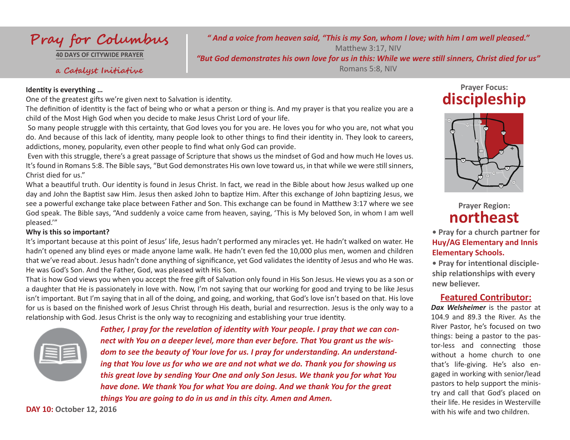

**40 DAYS OF CITYWIDE PRAYER**

#### a Catalyst Initiative

#### **Identity is everything …**

One of the greatest gifts we're given next to Salvation is identity.

The definition of identity is the fact of being who or what a person or thing is. And my prayer is that you realize you are a child of the Most High God when you decide to make Jesus Christ Lord of your life.

 So many people struggle with this certainty, that God loves you for you are. He loves you for who you are, not what you do. And because of this lack of identity, many people look to other things to find their identity in. They look to careers, addictions, money, popularity, even other people to find what only God can provide.

 Even with this struggle, there's a great passage of Scripture that shows us the mindset of God and how much He loves us. It's found in Romans 5:8. The Bible says, "But God demonstrates His own love toward us, in that while we were still sinners, Christ died for us."

What a beautiful truth. Our identity is found in Jesus Christ. In fact, we read in the Bible about how Jesus walked up one day and John the Baptist saw Him. Jesus then asked John to baptize Him. After this exchange of John baptizing Jesus, we see a powerful exchange take place between Father and Son. This exchange can be found in Matthew 3:17 where we see God speak. The Bible says, "And suddenly a voice came from heaven, saying, 'This is My beloved Son, in whom I am well pleased.'"

#### **Why is this so important?**

It's important because at this point of Jesus' life, Jesus hadn't performed any miracles yet. He hadn't walked on water. He hadn't opened any blind eyes or made anyone lame walk. He hadn't even fed the 10,000 plus men, women and children that we've read about. Jesus hadn't done anything of significance, yet God validates the identity of Jesus and who He was. He was God's Son. And the Father, God, was pleased with His Son.

That is how God views you when you accept the free gift of Salvation only found in His Son Jesus. He views you as a son or a daughter that He is passionately in love with. Now, I'm not saying that our working for good and trying to be like Jesus isn't important. But I'm saying that in all of the doing, and going, and working, that God's love isn't based on that. His love for us is based on the finished work of Jesus Christ through His death, burial and resurrection. Jesus is the only way to a relationship with God. Jesus Christ is the only way to recognizing and establishing your true identity.

*Father, I pray for the revelation of identity with Your people. I pray that we can connect with You on a deeper level, more than ever before. That You grant us the wisdom to see the beauty of Your love for us. I pray for understanding. An understanding that You love us for who we are and not what we do. Thank you for showing us this great love by sending Your One and only Son Jesus. We thank you for what You have done. We thank You for what You are doing. And we thank You for the great things You are going to do in us and in this city. Amen and Amen.*

## **Prayer Focus: discipleship**

*" And a voice from heaven said, "This is my Son, whom I love; with him I am well pleased."*  Matthew 3:17, NIV *"But God demonstrates his own love for us in this: While we were still sinners, Christ died for us"* Romans 5:8, NIV



**Prayer Region: northeast**

**• Pray for a church partner for Huy/AG Elementary and Innis Elementary Schools.**

**• Pray for intentional discipleship relationships with every new believer.**

## **Featured Contributor:**

*Dax Welsheimer* is the pastor at 104.9 and 89.3 the River. As the River Pastor, he's focused on two things: being a pastor to the pastor-less and connecting those without a home church to one that's life-giving. He's also engaged in working with senior/lead pastors to help support the ministry and call that God's placed on their life. He resides in Westerville with his wife and two children.

**DAY 10: October 12, 2016**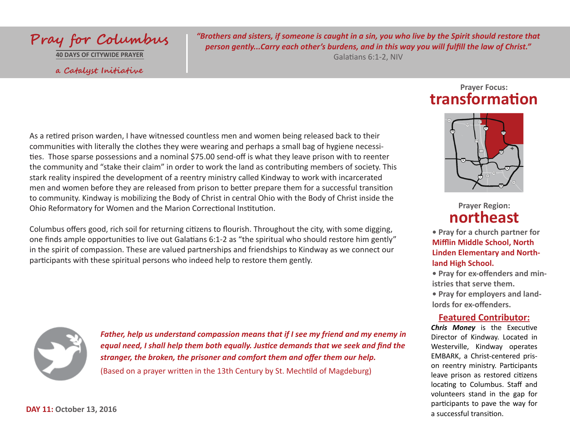

a Catalyst Initiative

*"Brothers and sisters, if someone is caught in a sin, you who live by the Spirit should restore that person gently...Carry each other's burdens, and in this way you will fulfill the law of Christ."* 

Galatians 6:1-2, NIV

## As a retired prison warden, I have witnessed countless men and women being released back to their communities with literally the clothes they were wearing and perhaps a small bag of hygiene necessities. Those sparse possessions and a nominal \$75.00 send-off is what they leave prison with to reenter the community and "stake their claim" in order to work the land as contributing members of society. This stark reality inspired the development of a reentry ministry called Kindway to work with incarcerated men and women before they are released from prison to better prepare them for a successful transition to community. Kindway is mobilizing the Body of Christ in central Ohio with the Body of Christ inside the Ohio Reformatory for Women and the Marion Correctional Institution.

Columbus offers good, rich soil for returning citizens to flourish. Throughout the city, with some digging, one finds ample opportunities to live out Galatians 6:1-2 as "the spiritual who should restore him gently" in the spirit of compassion. These are valued partnerships and friendships to Kindway as we connect our participants with these spiritual persons who indeed help to restore them gently.



*Father, help us understand compassion means that if I see my friend and my enemy in equal need, I shall help them both equally. Justice demands that we seek and find the stranger, the broken, the prisoner and comfort them and offer them our help.* (Based on a prayer written in the 13th Century by St. Mechtild of Magdeburg)

## **Prayer Focus: transformation**



**Prayer Region: northeast**

**• Pray for a church partner for Mifflin Middle School, North Linden Elementary and Northland High School.**

**• Pray for ex-offenders and ministries that serve them. • Pray for employers and land-**

**lords for ex-offenders.**

#### **Featured Contributor:**

*Chris Money* is the Executive Director of Kindway. Located in Westerville, Kindway operates EMBARK, a Christ-centered prison reentry ministry. Participants leave prison as restored citizens locating to Columbus. Staff and volunteers stand in the gap for participants to pave the way for a successful transition.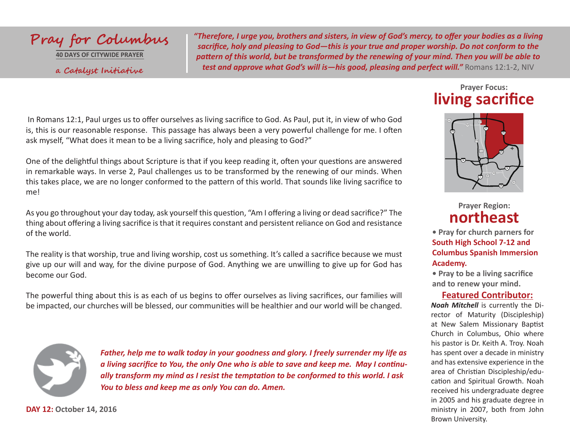

**40 DAYS OF CITYWIDE PRAYER** a Catalyst Initiative *"Therefore, I urge you, brothers and sisters, in view of God's mercy, to offer your bodies as a living sacrifice, holy and pleasing to God—this is your true and proper worship. Do not conform to the pattern of this world, but be transformed by the renewing of your mind. Then you will be able to*  **test and approve what God's will is—his good, pleasing and perfect will."** Romans 12:1-2, NIV

 In Romans 12:1, Paul urges us to offer ourselves as living sacrifice to God. As Paul, put it, in view of who God is, this is our reasonable response. This passage has always been a very powerful challenge for me. I often ask myself, "What does it mean to be a living sacrifice, holy and pleasing to God?"

One of the delightful things about Scripture is that if you keep reading it, often your questions are answered in remarkable ways. In verse 2, Paul challenges us to be transformed by the renewing of our minds. When this takes place, we are no longer conformed to the pattern of this world. That sounds like living sacrifice to me!

As you go throughout your day today, ask yourself this question, "Am I offering a living or dead sacrifice?" The thing about offering a living sacrifice is that it requires constant and persistent reliance on God and resistance of the world.

The reality is that worship, true and living worship, cost us something. It's called a sacrifice because we must give up our will and way, for the divine purpose of God. Anything we are unwilling to give up for God has become our God.

The powerful thing about this is as each of us begins to offer ourselves as living sacrifices, our families will be impacted, our churches will be blessed, our communities will be healthier and our world will be changed.



*Father, help me to walk today in your goodness and glory. I freely surrender my life as a living sacrifice to You, the only One who is able to save and keep me. May I continually transform my mind as I resist the temptation to be conformed to this world. I ask You to bless and keep me as only You can do. Amen.*

## **Prayer Focus: living sacrifice**



**Prayer Region: northeast**

**• Pray for church parners for South High School 7-12 and Columbus Spanish Immersion Academy.**

**• Pray to be a living sacrifice and to renew your mind.**

#### **Featured Contributor:**

*Noah Mitchell* is currently the Director of Maturity (Discipleship) at New Salem Missionary Baptist Church in Columbus, Ohio where his pastor is Dr. Keith A. Troy. Noah has spent over a decade in ministry and has extensive experience in the area of Christian Discipleship/education and Spiritual Growth. Noah received his undergraduate degree in 2005 and his graduate degree in ministry in 2007, both from John Brown University.

**DAY 12: October 14, 2016**